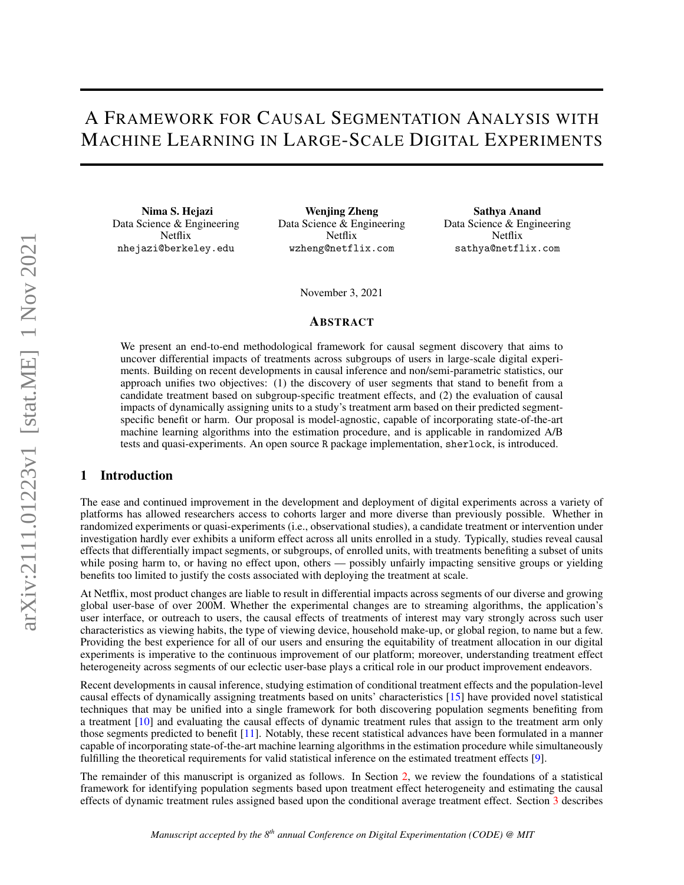# A FRAMEWORK FOR CAUSAL SEGMENTATION ANALYSIS WITH MACHINE LEARNING IN LARGE-SCALE DIGITAL EXPERIMENTS

Nima S. Hejazi Data Science & Engineering Netflix nhejazi@berkeley.edu

Wenjing Zheng Data Science & Engineering Netflix wzheng@netflix.com

Sathya Anand Data Science & Engineering Netflix sathya@netflix.com

November 3, 2021

#### ABSTRACT

We present an end-to-end methodological framework for causal segment discovery that aims to uncover differential impacts of treatments across subgroups of users in large-scale digital experiments. Building on recent developments in causal inference and non/semi-parametric statistics, our approach unifies two objectives: (1) the discovery of user segments that stand to benefit from a candidate treatment based on subgroup-specific treatment effects, and (2) the evaluation of causal impacts of dynamically assigning units to a study's treatment arm based on their predicted segmentspecific benefit or harm. Our proposal is model-agnostic, capable of incorporating state-of-the-art machine learning algorithms into the estimation procedure, and is applicable in randomized A/B tests and quasi-experiments. An open source R package implementation, sherlock, is introduced.

#### 1 Introduction

The ease and continued improvement in the development and deployment of digital experiments across a variety of platforms has allowed researchers access to cohorts larger and more diverse than previously possible. Whether in randomized experiments or quasi-experiments (i.e., observational studies), a candidate treatment or intervention under investigation hardly ever exhibits a uniform effect across all units enrolled in a study. Typically, studies reveal causal effects that differentially impact segments, or subgroups, of enrolled units, with treatments benefiting a subset of units while posing harm to, or having no effect upon, others — possibly unfairly impacting sensitive groups or yielding benefits too limited to justify the costs associated with deploying the treatment at scale.

At Netflix, most product changes are liable to result in differential impacts across segments of our diverse and growing global user-base of over 200M. Whether the experimental changes are to streaming algorithms, the application's user interface, or outreach to users, the causal effects of treatments of interest may vary strongly across such user characteristics as viewing habits, the type of viewing device, household make-up, or global region, to name but a few. Providing the best experience for all of our users and ensuring the equitability of treatment allocation in our digital experiments is imperative to the continuous improvement of our platform; moreover, understanding treatment effect heterogeneity across segments of our eclectic user-base plays a critical role in our product improvement endeavors.

Recent developments in causal inference, studying estimation of conditional treatment effects and the population-level causal effects of dynamically assigning treatments based on units' characteristics [\[15\]](#page-4-0) have provided novel statistical techniques that may be unified into a single framework for both discovering population segments benefiting from a treatment [\[10\]](#page-4-1) and evaluating the causal effects of dynamic treatment rules that assign to the treatment arm only those segments predicted to benefit [\[11\]](#page-4-2). Notably, these recent statistical advances have been formulated in a manner capable of incorporating state-of-the-art machine learning algorithms in the estimation procedure while simultaneously fulfilling the theoretical requirements for valid statistical inference on the estimated treatment effects [\[9\]](#page-4-3).

The remainder of this manuscript is organized as follows. In Section [2,](#page-1-0) we review the foundations of a statistical framework for identifying population segments based upon treatment effect heterogeneity and estimating the causal effects of dynamic treatment rules assigned based upon the conditional average treatment effect. Section [3](#page-2-0) describes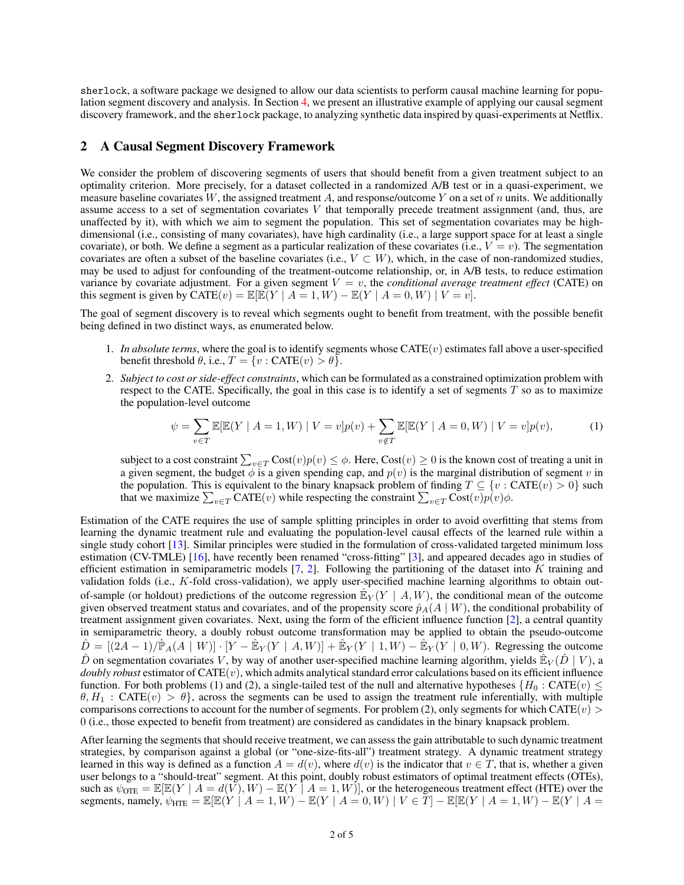sherlock, a software package we designed to allow our data scientists to perform causal machine learning for population segment discovery and analysis. In Section [4,](#page-3-0) we present an illustrative example of applying our causal segment discovery framework, and the sherlock package, to analyzing synthetic data inspired by quasi-experiments at Netflix.

### <span id="page-1-0"></span>2 A Causal Segment Discovery Framework

We consider the problem of discovering segments of users that should benefit from a given treatment subject to an optimality criterion. More precisely, for a dataset collected in a randomized A/B test or in a quasi-experiment, we measure baseline covariates W, the assigned treatment A, and response/outcome Y on a set of n units. We additionally assume access to a set of segmentation covariates  $V$  that temporally precede treatment assignment (and, thus, are unaffected by it), with which we aim to segment the population. This set of segmentation covariates may be highdimensional (i.e., consisting of many covariates), have high cardinality (i.e., a large support space for at least a single covariate), or both. We define a segment as a particular realization of these covariates (i.e.,  $V = v$ ). The segmentation covariates are often a subset of the baseline covariates (i.e.,  $V \subset W$ ), which, in the case of non-randomized studies, may be used to adjust for confounding of the treatment-outcome relationship, or, in A/B tests, to reduce estimation variance by covariate adjustment. For a given segment  $V = v$ , the *conditional average treatment effect* (CATE) on this segment is given by  $\text{CATE}(v) = \mathbb{E}[\mathbb{E}(Y \mid A = 1, W) - \mathbb{E}(Y \mid A = 0, W) \mid V = v].$ 

The goal of segment discovery is to reveal which segments ought to benefit from treatment, with the possible benefit being defined in two distinct ways, as enumerated below.

- 1. *In absolute terms*, where the goal is to identify segments whose  $CATE(v)$  estimates fall above a user-specified benefit threshold  $\theta$ , i.e.,  $T = \{v : \text{CATE}(v) > \theta\}.$
- 2. *Subject to cost or side-effect constraints*, which can be formulated as a constrained optimization problem with respect to the CATE. Specifically, the goal in this case is to identify a set of segments  $T$  so as to maximize the population-level outcome

$$
\psi = \sum_{v \in T} \mathbb{E}[\mathbb{E}(Y \mid A = 1, W) \mid V = v] p(v) + \sum_{v \notin T} \mathbb{E}[\mathbb{E}(Y \mid A = 0, W) \mid V = v] p(v), \tag{1}
$$

subject to a cost constraint  $\sum_{v\in T}\text{Cost}(v)p(v)\leq\phi.$  Here,  $\text{Cost}(v)\geq 0$  is the known cost of treating a unit in a given segment, the budget  $\phi$  is a given spending cap, and  $p(v)$  is the marginal distribution of segment v in the population. This is equivalent to the binary knapsack problem of finding  $T \subseteq \{v : CATE(v) > 0\}$  such that we maximize  $\sum_{v \in T}$  CATE(v) while respecting the constraint  $\sum_{v \in T}$  Cost(v)p(v) $\phi$ .

Estimation of the CATE requires the use of sample splitting principles in order to avoid overfitting that stems from learning the dynamic treatment rule and evaluating the population-level causal effects of the learned rule within a single study cohort [\[13\]](#page-4-4). Similar principles were studied in the formulation of cross-validated targeted minimum loss estimation (CV-TMLE) [\[16\]](#page-4-5), have recently been renamed "cross-fitting" [\[3\]](#page-4-6), and appeared decades ago in studies of efficient estimation in semiparametric models  $[7, 2]$  $[7, 2]$  $[7, 2]$ . Following the partitioning of the dataset into K training and validation folds (i.e., K-fold cross-validation), we apply user-specified machine learning algorithms to obtain outof-sample (or holdout) predictions of the outcome regression  $\mathbb{E}_Y(Y \mid A, W)$ , the conditional mean of the outcome given observed treatment status and covariates, and of the propensity score  $\hat{p}_A(A \mid W)$ , the conditional probability of treatment assignment given covariates. Next, using the form of the efficient influence function [\[2\]](#page-4-8), a central quantity in semiparametric theory, a doubly robust outcome transformation may be applied to obtain the pseudo-outcome  $\hat{D} = [(2A-1)/\hat{\mathbb{P}}_A(A \mid W)] \cdot [Y - \hat{\mathbb{E}}_Y(Y \mid A, W)] + \hat{\mathbb{E}}_Y(Y \mid 1, W) - \hat{\mathbb{E}}_Y(Y \mid 0, W)$ . Regressing the outcome  $\hat{D}$  on segmentation covariates V, by way of another user-specified machine learning algorithm, yields  $\hat{E}_V(\hat{D} | V)$ , a *doubly robust* estimator of  $CATE(v)$ , which admits analytical standard error calculations based on its efficient influence function. For both problems (1) and (2), a single-tailed test of the null and alternative hypotheses { $H_0$ : CATE(v)  $\leq$  $\theta, H_1$ : CATE(v)  $> \theta$ , across the segments can be used to assign the treatment rule inferentially, with multiple comparisons corrections to account for the number of segments. For problem (2), only segments for which CATE( $v$ ) > 0 (i.e., those expected to benefit from treatment) are considered as candidates in the binary knapsack problem.

After learning the segments that should receive treatment, we can assess the gain attributable to such dynamic treatment strategies, by comparison against a global (or "one-size-fits-all") treatment strategy. A dynamic treatment strategy learned in this way is defined as a function  $A = d(v)$ , where  $d(v)$  is the indicator that  $v \in T$ , that is, whether a given user belongs to a "should-treat" segment. At this point, doubly robust estimators of optimal treatment effects (OTEs), such as  $\psi_{\text{OTE}} = \mathbb{E}[\mathbb{E}(Y \mid A = d(V), W) - \mathbb{E}(Y \mid A = 1, W)]$ , or the heterogeneous treatment effect (HTE) over the segments, namely,  $\psi_{\text{HTE}} = \mathbb{E}[\mathbb{E}(Y \mid A = 1, W) - \mathbb{E}(Y \mid A = 0, W) \mid V \in \overline{T}] - \mathbb{E}[\mathbb{E}(Y \mid A = 1, W) - \mathbb{E}(Y \mid A = 1, W)]$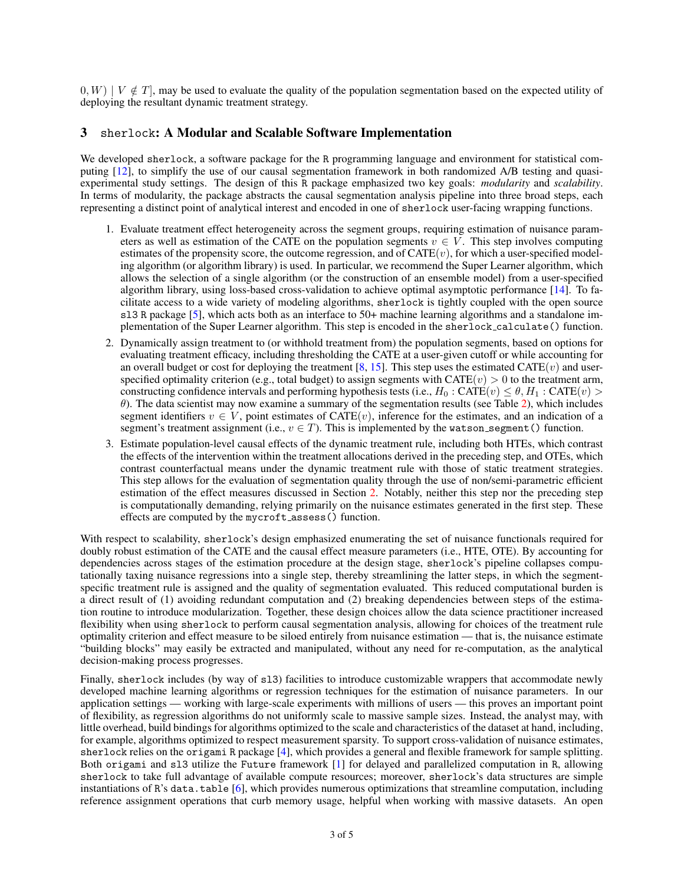$(0, W) \mid V \notin T$ , may be used to evaluate the quality of the population segmentation based on the expected utility of deploying the resultant dynamic treatment strategy.

## <span id="page-2-0"></span>3 sherlock: A Modular and Scalable Software Implementation

We developed sherlock, a software package for the R programming language and environment for statistical computing [\[12\]](#page-4-9), to simplify the use of our causal segmentation framework in both randomized A/B testing and quasiexperimental study settings. The design of this R package emphasized two key goals: *modularity* and *scalability*. In terms of modularity, the package abstracts the causal segmentation analysis pipeline into three broad steps, each representing a distinct point of analytical interest and encoded in one of sherlock user-facing wrapping functions.

- 1. Evaluate treatment effect heterogeneity across the segment groups, requiring estimation of nuisance parameters as well as estimation of the CATE on the population segments  $v \in V$ . This step involves computing estimates of the propensity score, the outcome regression, and of  $CATE(v)$ , for which a user-specified modeling algorithm (or algorithm library) is used. In particular, we recommend the Super Learner algorithm, which allows the selection of a single algorithm (or the construction of an ensemble model) from a user-specified algorithm library, using loss-based cross-validation to achieve optimal asymptotic performance [\[14\]](#page-4-10). To facilitate access to a wide variety of modeling algorithms, sherlock is tightly coupled with the open source sl3 R package [\[5\]](#page-4-11), which acts both as an interface to 50+ machine learning algorithms and a standalone implementation of the Super Learner algorithm. This step is encoded in the sherlock calculate() function.
- 2. Dynamically assign treatment to (or withhold treatment from) the population segments, based on options for evaluating treatment efficacy, including thresholding the CATE at a user-given cutoff or while accounting for an overall budget or cost for deploying the treatment [\[8,](#page-4-12) [15\]](#page-4-0). This step uses the estimated CATE(v) and userspecified optimality criterion (e.g., total budget) to assign segments with  $CATE(v) > 0$  to the treatment arm, constructing confidence intervals and performing hypothesis tests (i.e.,  $H_0$ : CATE(v)  $\leq \theta$ ,  $H_1$ : CATE(v)  $>$ θ). The data scientist may now examine a summary of the segmentation results (see Table [2\)](#page-4-13), which includes segment identifiers  $v \in V$ , point estimates of CATE(v), inference for the estimates, and an indication of a segment's treatment assignment (i.e.,  $v \in T$ ). This is implemented by the watson segment() function.
- 3. Estimate population-level causal effects of the dynamic treatment rule, including both HTEs, which contrast the effects of the intervention within the treatment allocations derived in the preceding step, and OTEs, which contrast counterfactual means under the dynamic treatment rule with those of static treatment strategies. This step allows for the evaluation of segmentation quality through the use of non/semi-parametric efficient estimation of the effect measures discussed in Section [2.](#page-1-0) Notably, neither this step nor the preceding step is computationally demanding, relying primarily on the nuisance estimates generated in the first step. These effects are computed by the mycroft assess() function.

With respect to scalability, sherlock's design emphasized enumerating the set of nuisance functionals required for doubly robust estimation of the CATE and the causal effect measure parameters (i.e., HTE, OTE). By accounting for dependencies across stages of the estimation procedure at the design stage, sherlock's pipeline collapses computationally taxing nuisance regressions into a single step, thereby streamlining the latter steps, in which the segmentspecific treatment rule is assigned and the quality of segmentation evaluated. This reduced computational burden is a direct result of (1) avoiding redundant computation and (2) breaking dependencies between steps of the estimation routine to introduce modularization. Together, these design choices allow the data science practitioner increased flexibility when using sherlock to perform causal segmentation analysis, allowing for choices of the treatment rule optimality criterion and effect measure to be siloed entirely from nuisance estimation — that is, the nuisance estimate "building blocks" may easily be extracted and manipulated, without any need for re-computation, as the analytical decision-making process progresses.

Finally, sherlock includes (by way of sl3) facilities to introduce customizable wrappers that accommodate newly developed machine learning algorithms or regression techniques for the estimation of nuisance parameters. In our application settings — working with large-scale experiments with millions of users — this proves an important point of flexibility, as regression algorithms do not uniformly scale to massive sample sizes. Instead, the analyst may, with little overhead, build bindings for algorithms optimized to the scale and characteristics of the dataset at hand, including, for example, algorithms optimized to respect measurement sparsity. To support cross-validation of nuisance estimates, sherlock relies on the origami R package [\[4\]](#page-4-14), which provides a general and flexible framework for sample splitting. Both origami and sl3 utilize the Future framework [\[1\]](#page-4-15) for delayed and parallelized computation in R, allowing sherlock to take full advantage of available compute resources; moreover, sherlock's data structures are simple instantiations of R's data.table  $[6]$ , which provides numerous optimizations that streamline computation, including reference assignment operations that curb memory usage, helpful when working with massive datasets. An open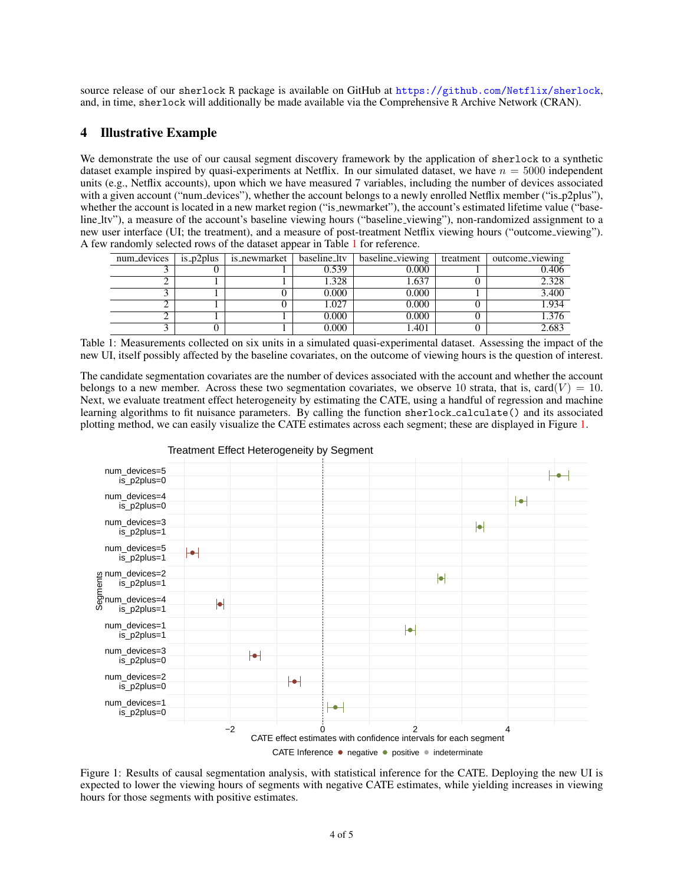source release of our sherlock R package is available on GitHub at <https://github.com/Netflix/sherlock>, and, in time, sherlock will additionally be made available via the Comprehensive R Archive Network (CRAN).

## <span id="page-3-0"></span>4 Illustrative Example

We demonstrate the use of our causal segment discovery framework by the application of sherlock to a synthetic dataset example inspired by quasi-experiments at Netflix. In our simulated dataset, we have  $n = 5000$  independent units (e.g., Netflix accounts), upon which we have measured 7 variables, including the number of devices associated with a given account ("num devices"), whether the account belongs to a newly enrolled Netflix member ("is p2plus"), whether the account is located in a new market region ("is newmarket"), the account's estimated lifetime value ("baseline ltv"), a measure of the account's baseline viewing hours ("baseline viewing"), non-randomized assignment to a new user interface (UI; the treatment), and a measure of post-treatment Netflix viewing hours ("outcome viewing"). A few randomly selected rows of the dataset appear in Table [1](#page-3-1) for reference.

<span id="page-3-1"></span>

| num_devices | $is_p2$ plus | is_newmarket | baseline_ltv | baseline_viewing | treatment | outcome_viewing |
|-------------|--------------|--------------|--------------|------------------|-----------|-----------------|
|             |              |              | 0.539        | 0.000            |           | 0.406           |
|             |              |              | 1.328        | 1.637            |           | 2.328           |
|             |              |              | 0.000        | 0.000            |           | 3.400           |
|             |              |              | .027         | 0.000            |           | 1.934           |
|             |              |              | 0.000        | 0.000            |           | 1.376           |
|             |              |              | 0.000        | 1.401            |           | 2.683           |

Table 1: Measurements collected on six units in a simulated quasi-experimental dataset. Assessing the impact of the new UI, itself possibly affected by the baseline covariates, on the outcome of viewing hours is the question of interest.

The candidate segmentation covariates are the number of devices associated with the account and whether the account belongs to a new member. Across these two segmentation covariates, we observe 10 strata, that is, card( $V$ ) = 10. Next, we evaluate treatment effect heterogeneity by estimating the CATE, using a handful of regression and machine learning algorithms to fit nuisance parameters. By calling the function sherlock calculate() and its associated plotting method, we can easily visualize the CATE estimates across each segment; these are displayed in Figure [1.](#page-3-2)

<span id="page-3-2"></span>

Treatment Effect Heterogeneity by Segment

Figure 1: Results of causal segmentation analysis, with statistical inference for the CATE. Deploying the new UI is expected to lower the viewing hours of segments with negative CATE estimates, while yielding increases in viewing hours for those segments with positive estimates.